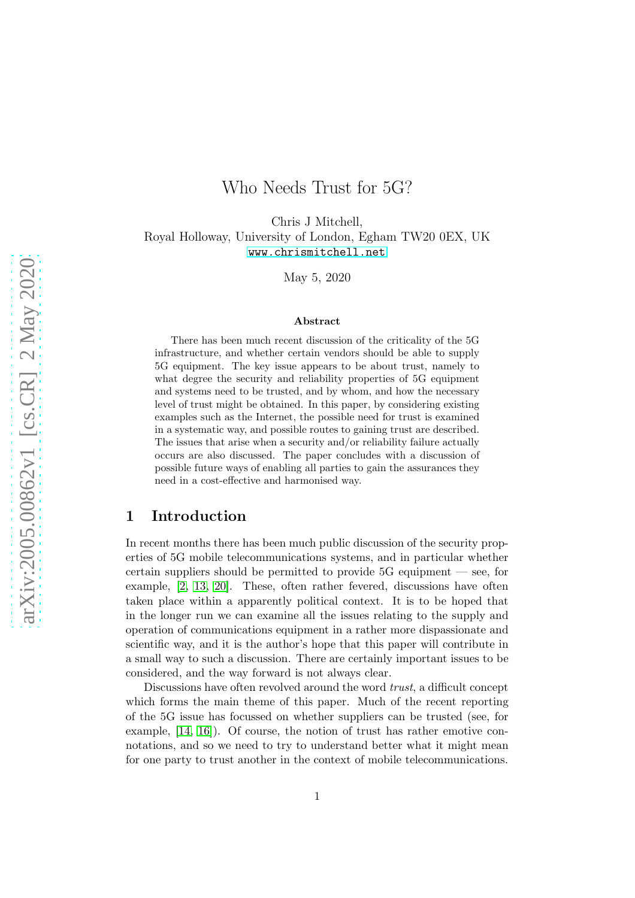# Who Needs Trust for 5G?

Chris J Mitchell, Royal Holloway, University of London, Egham TW20 0EX, UK <www.chrismitchell.net>

May 5, 2020

#### Abstract

There has been much recent discussion of the criticality of the 5G infrastructure, and whether certain vendors should be able to supply 5G equipment. The key issue appears to be about trust, namely to what degree the security and reliability properties of 5G equipment and systems need to be trusted, and by whom, and how the necessary level of trust might be obtained. In this paper, by considering existing examples such as the Internet, the possible need for trust is examined in a systematic way, and possible routes to gaining trust are described. The issues that arise when a security and/or reliability failure actually occurs are also discussed. The paper concludes with a discussion of possible future ways of enabling all parties to gain the assurances they need in a cost-effective and harmonised way.

#### 1 Introduction

In recent months there has been much public discussion of the security properties of 5G mobile telecommunications systems, and in particular whether certain suppliers should be permitted to provide 5G equipment — see, for example, [\[2,](#page-12-0) [13,](#page-13-0) [20\]](#page-13-1). These, often rather fevered, discussions have often taken place within a apparently political context. It is to be hoped that in the longer run we can examine all the issues relating to the supply and operation of communications equipment in a rather more dispassionate and scientific way, and it is the author's hope that this paper will contribute in a small way to such a discussion. There are certainly important issues to be considered, and the way forward is not always clear.

Discussions have often revolved around the word *trust*, a difficult concept which forms the main theme of this paper. Much of the recent reporting of the 5G issue has focussed on whether suppliers can be trusted (see, for example, [\[14,](#page-13-2) [16\]](#page-13-3)). Of course, the notion of trust has rather emotive connotations, and so we need to try to understand better what it might mean for one party to trust another in the context of mobile telecommunications.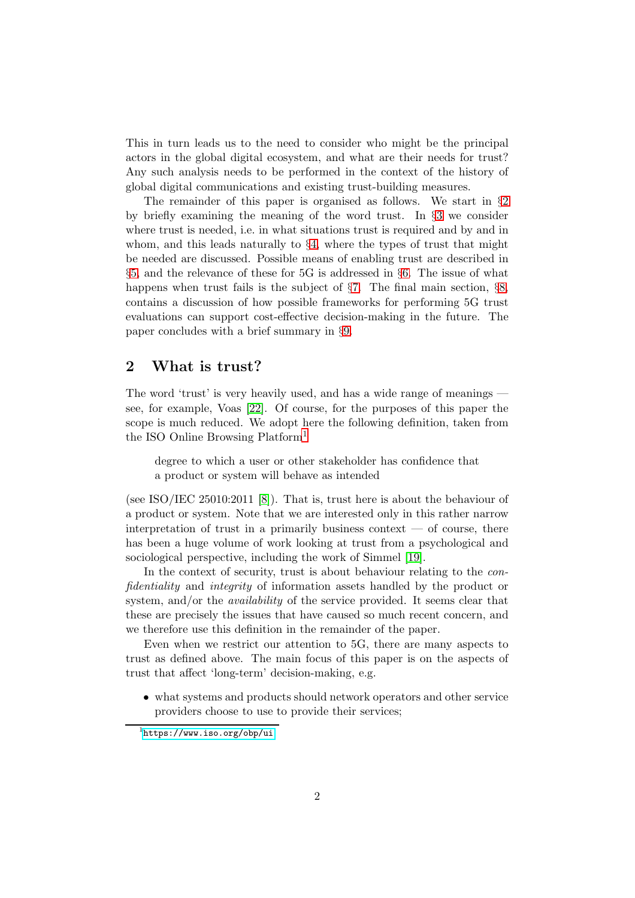This in turn leads us to the need to consider who might be the principal actors in the global digital ecosystem, and what are their needs for trust? Any such analysis needs to be performed in the context of the history of global digital communications and existing trust-building measures.

The remainder of this paper is organised as follows. We start in §[2](#page-1-0) by briefly examining the meaning of the word trust. In §[3](#page-2-0) we consider where trust is needed, i.e. in what situations trust is required and by and in whom, and this leads naturally to §[4,](#page-3-0) where the types of trust that might be needed are discussed. Possible means of enabling trust are described in §[5,](#page-4-0) and the relevance of these for 5G is addressed in §[6.](#page-6-0) The issue of what happens when trust fails is the subject of §[7.](#page-8-0) The final main section, §[8,](#page-10-0) contains a discussion of how possible frameworks for performing 5G trust evaluations can support cost-effective decision-making in the future. The paper concludes with a brief summary in §[9.](#page-11-0)

#### <span id="page-1-0"></span>2 What is trust?

The word 'trust' is very heavily used, and has a wide range of meanings see, for example, Voas [\[22\]](#page-13-4). Of course, for the purposes of this paper the scope is much reduced. We adopt here the following definition, taken from the ISO Online Browsing Platform[1](#page-1-1)

degree to which a user or other stakeholder has confidence that a product or system will behave as intended

(see ISO/IEC 25010:2011 [\[8\]](#page-12-1)). That is, trust here is about the behaviour of a product or system. Note that we are interested only in this rather narrow interpretation of trust in a primarily business context  $-$  of course, there has been a huge volume of work looking at trust from a psychological and sociological perspective, including the work of Simmel [\[19\]](#page-13-5).

In the context of security, trust is about behaviour relating to the *confidentiality* and *integrity* of information assets handled by the product or system, and/or the *availability* of the service provided. It seems clear that these are precisely the issues that have caused so much recent concern, and we therefore use this definition in the remainder of the paper.

Even when we restrict our attention to 5G, there are many aspects to trust as defined above. The main focus of this paper is on the aspects of trust that affect 'long-term' decision-making, e.g.

• what systems and products should network operators and other service providers choose to use to provide their services;

<span id="page-1-1"></span><sup>1</sup> <https://www.iso.org/obp/ui>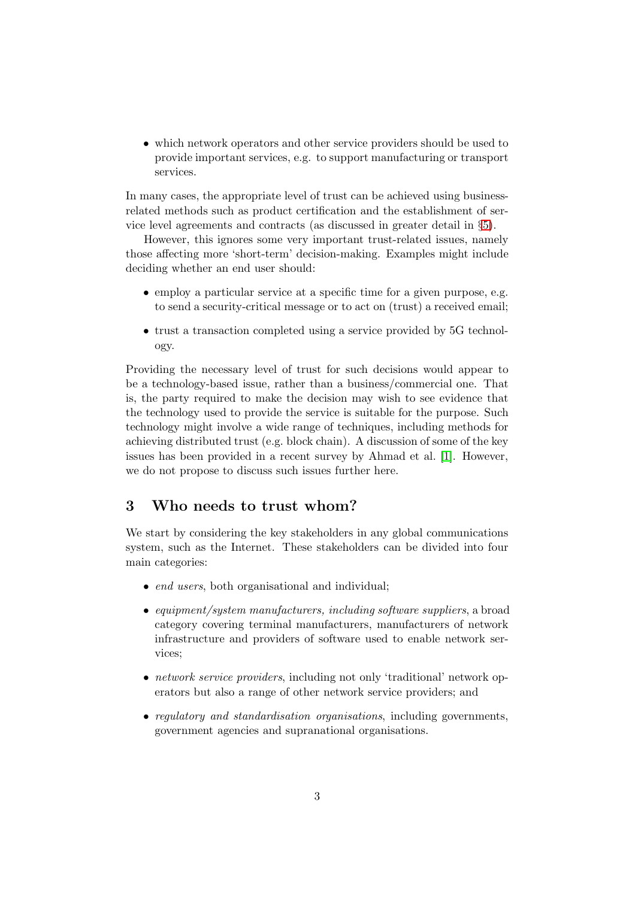• which network operators and other service providers should be used to provide important services, e.g. to support manufacturing or transport services.

In many cases, the appropriate level of trust can be achieved using businessrelated methods such as product certification and the establishment of service level agreements and contracts (as discussed in greater detail in §[5\)](#page-4-0).

However, this ignores some very important trust-related issues, namely those affecting more 'short-term' decision-making. Examples might include deciding whether an end user should:

- employ a particular service at a specific time for a given purpose, e.g. to send a security-critical message or to act on (trust) a received email;
- trust a transaction completed using a service provided by 5G technology.

Providing the necessary level of trust for such decisions would appear to be a technology-based issue, rather than a business/commercial one. That is, the party required to make the decision may wish to see evidence that the technology used to provide the service is suitable for the purpose. Such technology might involve a wide range of techniques, including methods for achieving distributed trust (e.g. block chain). A discussion of some of the key issues has been provided in a recent survey by Ahmad et al. [\[1\]](#page-12-2). However, we do not propose to discuss such issues further here.

#### <span id="page-2-0"></span>3 Who needs to trust whom?

We start by considering the key stakeholders in any global communications system, such as the Internet. These stakeholders can be divided into four main categories:

- *end users*, both organisational and individual;
- *equipment/system manufacturers, including software suppliers*, a broad category covering terminal manufacturers, manufacturers of network infrastructure and providers of software used to enable network services;
- *network service providers*, including not only 'traditional' network operators but also a range of other network service providers; and
- *regulatory and standardisation organisations*, including governments, government agencies and supranational organisations.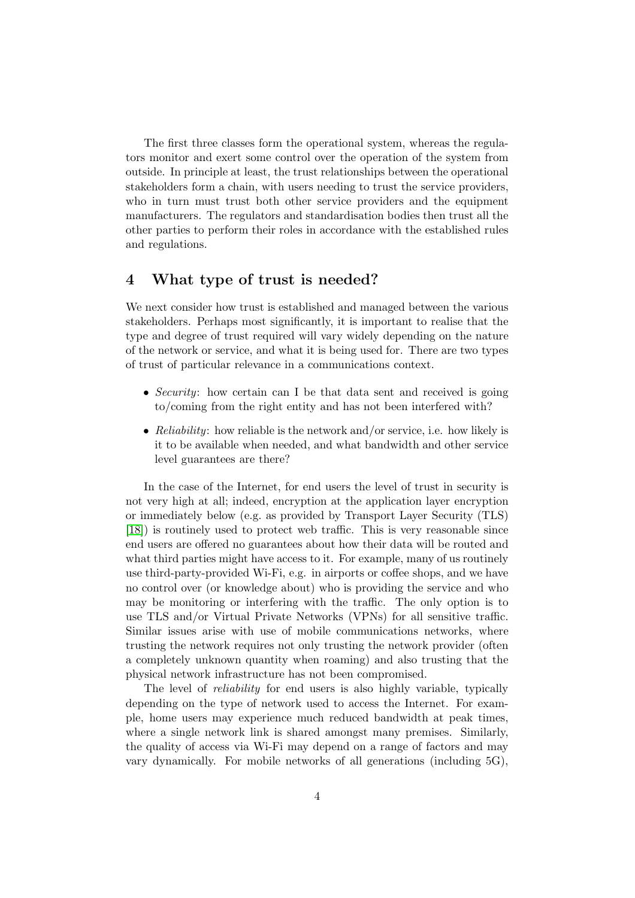The first three classes form the operational system, whereas the regulators monitor and exert some control over the operation of the system from outside. In principle at least, the trust relationships between the operational stakeholders form a chain, with users needing to trust the service providers, who in turn must trust both other service providers and the equipment manufacturers. The regulators and standardisation bodies then trust all the other parties to perform their roles in accordance with the established rules and regulations.

#### <span id="page-3-0"></span>4 What type of trust is needed?

We next consider how trust is established and managed between the various stakeholders. Perhaps most significantly, it is important to realise that the type and degree of trust required will vary widely depending on the nature of the network or service, and what it is being used for. There are two types of trust of particular relevance in a communications context.

- *Security*: how certain can I be that data sent and received is going to/coming from the right entity and has not been interfered with?
- *Reliability*: how reliable is the network and/or service, i.e. how likely is it to be available when needed, and what bandwidth and other service level guarantees are there?

In the case of the Internet, for end users the level of trust in security is not very high at all; indeed, encryption at the application layer encryption or immediately below (e.g. as provided by Transport Layer Security (TLS) [\[18\]](#page-13-6)) is routinely used to protect web traffic. This is very reasonable since end users are offered no guarantees about how their data will be routed and what third parties might have access to it. For example, many of us routinely use third-party-provided Wi-Fi, e.g. in airports or coffee shops, and we have no control over (or knowledge about) who is providing the service and who may be monitoring or interfering with the traffic. The only option is to use TLS and/or Virtual Private Networks (VPNs) for all sensitive traffic. Similar issues arise with use of mobile communications networks, where trusting the network requires not only trusting the network provider (often a completely unknown quantity when roaming) and also trusting that the physical network infrastructure has not been compromised.

The level of *reliability* for end users is also highly variable, typically depending on the type of network used to access the Internet. For example, home users may experience much reduced bandwidth at peak times, where a single network link is shared amongst many premises. Similarly, the quality of access via Wi-Fi may depend on a range of factors and may vary dynamically. For mobile networks of all generations (including 5G),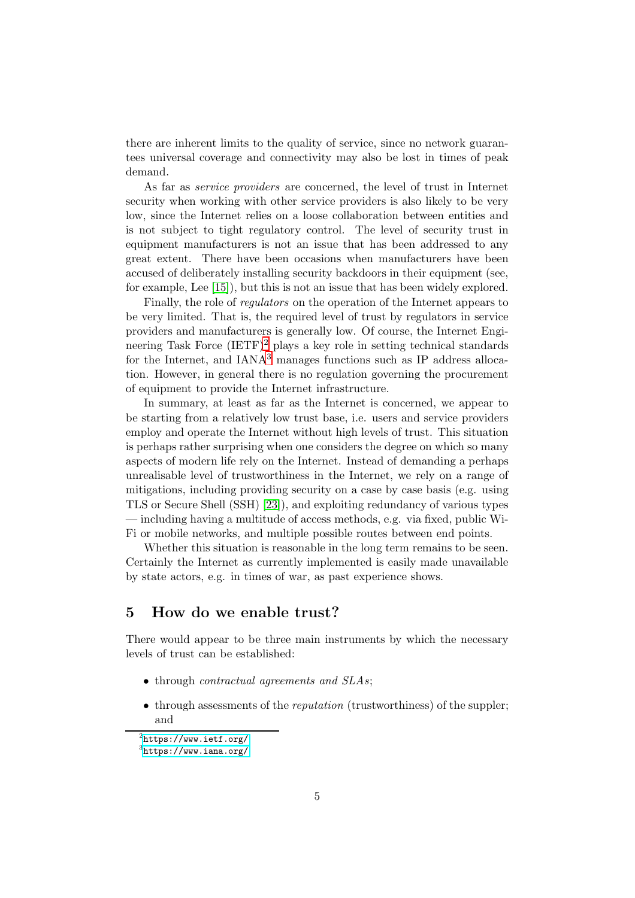there are inherent limits to the quality of service, since no network guarantees universal coverage and connectivity may also be lost in times of peak demand.

As far as *service providers* are concerned, the level of trust in Internet security when working with other service providers is also likely to be very low, since the Internet relies on a loose collaboration between entities and is not subject to tight regulatory control. The level of security trust in equipment manufacturers is not an issue that has been addressed to any great extent. There have been occasions when manufacturers have been accused of deliberately installing security backdoors in their equipment (see, for example, Lee [\[15\]](#page-13-7)), but this is not an issue that has been widely explored.

Finally, the role of *regulators* on the operation of the Internet appears to be very limited. That is, the required level of trust by regulators in service providers and manufacturers is generally low. Of course, the Internet Engineering Task Force  $(ETF)^2$  $(ETF)^2$  plays a key role in setting technical standards for the Internet, and  $IANA<sup>3</sup>$  $IANA<sup>3</sup>$  $IANA<sup>3</sup>$  manages functions such as IP address allocation. However, in general there is no regulation governing the procurement of equipment to provide the Internet infrastructure.

In summary, at least as far as the Internet is concerned, we appear to be starting from a relatively low trust base, i.e. users and service providers employ and operate the Internet without high levels of trust. This situation is perhaps rather surprising when one considers the degree on which so many aspects of modern life rely on the Internet. Instead of demanding a perhaps unrealisable level of trustworthiness in the Internet, we rely on a range of mitigations, including providing security on a case by case basis (e.g. using TLS or Secure Shell (SSH) [\[23\]](#page-13-8)), and exploiting redundancy of various types — including having a multitude of access methods, e.g. via fixed, public Wi-Fi or mobile networks, and multiple possible routes between end points.

Whether this situation is reasonable in the long term remains to be seen. Certainly the Internet as currently implemented is easily made unavailable by state actors, e.g. in times of war, as past experience shows.

### <span id="page-4-0"></span>5 How do we enable trust?

There would appear to be three main instruments by which the necessary levels of trust can be established:

- through *contractual agreements and SLAs*;
- through assessments of the *reputation* (trustworthiness) of the suppler; and

 $^{2}$ <https://www.ietf.org/>

<span id="page-4-2"></span><span id="page-4-1"></span><sup>3&</sup>lt;br><https://www.iana.org/>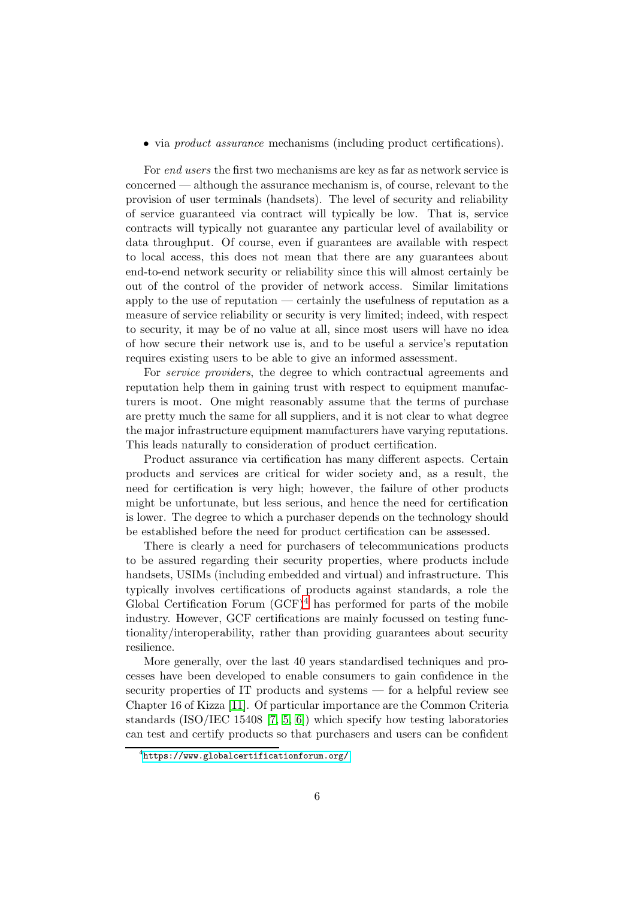• via *product assurance* mechanisms (including product certifications).

For *end users* the first two mechanisms are key as far as network service is concerned — although the assurance mechanism is, of course, relevant to the provision of user terminals (handsets). The level of security and reliability of service guaranteed via contract will typically be low. That is, service contracts will typically not guarantee any particular level of availability or data throughput. Of course, even if guarantees are available with respect to local access, this does not mean that there are any guarantees about end-to-end network security or reliability since this will almost certainly be out of the control of the provider of network access. Similar limitations apply to the use of reputation — certainly the usefulness of reputation as a measure of service reliability or security is very limited; indeed, with respect to security, it may be of no value at all, since most users will have no idea of how secure their network use is, and to be useful a service's reputation requires existing users to be able to give an informed assessment.

For *service providers*, the degree to which contractual agreements and reputation help them in gaining trust with respect to equipment manufacturers is moot. One might reasonably assume that the terms of purchase are pretty much the same for all suppliers, and it is not clear to what degree the major infrastructure equipment manufacturers have varying reputations. This leads naturally to consideration of product certification.

Product assurance via certification has many different aspects. Certain products and services are critical for wider society and, as a result, the need for certification is very high; however, the failure of other products might be unfortunate, but less serious, and hence the need for certification is lower. The degree to which a purchaser depends on the technology should be established before the need for product certification can be assessed.

There is clearly a need for purchasers of telecommunications products to be assured regarding their security properties, where products include handsets, USIMs (including embedded and virtual) and infrastructure. This typically involves certifications of products against standards, a role the Global Certification Forum  $(GCF)<sup>4</sup>$  $(GCF)<sup>4</sup>$  $(GCF)<sup>4</sup>$  has performed for parts of the mobile industry. However, GCF certifications are mainly focussed on testing functionality/interoperability, rather than providing guarantees about security resilience.

More generally, over the last 40 years standardised techniques and processes have been developed to enable consumers to gain confidence in the security properties of IT products and systems — for a helpful review see Chapter 16 of Kizza [\[11\]](#page-13-9). Of particular importance are the Common Criteria standards (ISO/IEC 15408 [\[7,](#page-12-3) [5,](#page-12-4) [6\]](#page-12-5)) which specify how testing laboratories can test and certify products so that purchasers and users can be confident

<span id="page-5-0"></span><sup>4</sup> <https://www.globalcertificationforum.org/>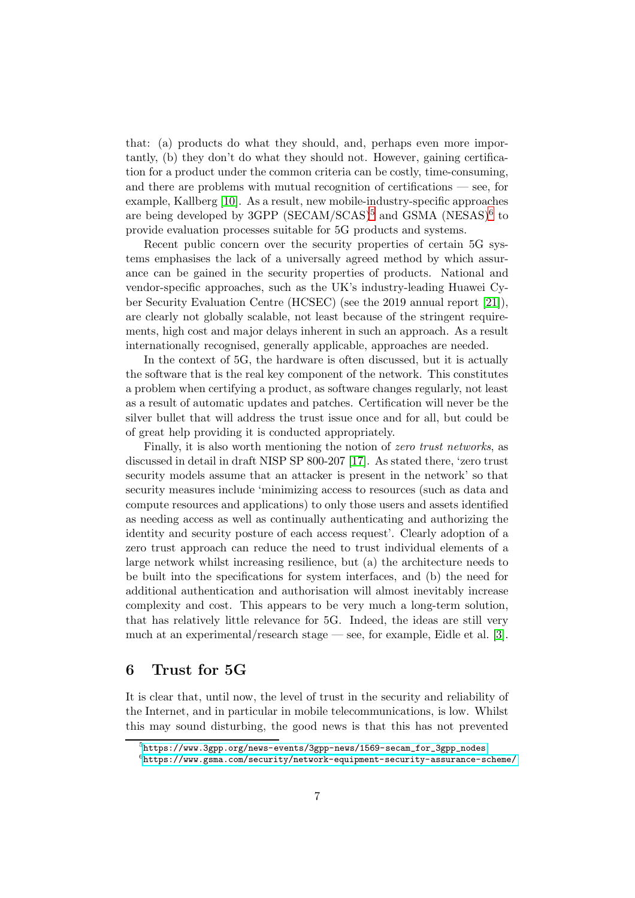that: (a) products do what they should, and, perhaps even more importantly, (b) they don't do what they should not. However, gaining certification for a product under the common criteria can be costly, time-consuming, and there are problems with mutual recognition of certifications — see, for example, Kallberg [\[10\]](#page-13-10). As a result, new mobile-industry-specific approaches are being developed by 3GPP (SECAM/SCAS)<sup>[5](#page-6-1)</sup> and GSMA (NESAS)<sup>[6](#page-6-2)</sup> to provide evaluation processes suitable for 5G products and systems.

Recent public concern over the security properties of certain 5G systems emphasises the lack of a universally agreed method by which assurance can be gained in the security properties of products. National and vendor-specific approaches, such as the UK's industry-leading Huawei Cyber Security Evaluation Centre (HCSEC) (see the 2019 annual report [\[21\]](#page-13-11)), are clearly not globally scalable, not least because of the stringent requirements, high cost and major delays inherent in such an approach. As a result internationally recognised, generally applicable, approaches are needed.

In the context of 5G, the hardware is often discussed, but it is actually the software that is the real key component of the network. This constitutes a problem when certifying a product, as software changes regularly, not least as a result of automatic updates and patches. Certification will never be the silver bullet that will address the trust issue once and for all, but could be of great help providing it is conducted appropriately.

Finally, it is also worth mentioning the notion of *zero trust networks*, as discussed in detail in draft NISP SP 800-207 [\[17\]](#page-13-12). As stated there, 'zero trust security models assume that an attacker is present in the network' so that security measures include 'minimizing access to resources (such as data and compute resources and applications) to only those users and assets identified as needing access as well as continually authenticating and authorizing the identity and security posture of each access request'. Clearly adoption of a zero trust approach can reduce the need to trust individual elements of a large network whilst increasing resilience, but (a) the architecture needs to be built into the specifications for system interfaces, and (b) the need for additional authentication and authorisation will almost inevitably increase complexity and cost. This appears to be very much a long-term solution, that has relatively little relevance for 5G. Indeed, the ideas are still very much at an experimental/research stage — see, for example, Eidle et al. [\[3\]](#page-12-6).

### <span id="page-6-0"></span>6 Trust for 5G

It is clear that, until now, the level of trust in the security and reliability of the Internet, and in particular in mobile telecommunications, is low. Whilst this may sound disturbing, the good news is that this has not prevented

 $^{5}$ [https://www.3gpp.org/news-events/3gpp-news/1569-secam\\_for\\_3gpp\\_nodes](https://www.3gpp.org/news-events/3gpp-news/1569-secam_for_3gpp_nodes)

<span id="page-6-2"></span><span id="page-6-1"></span><sup>6</sup> <https://www.gsma.com/security/network-equipment-security-assurance-scheme/>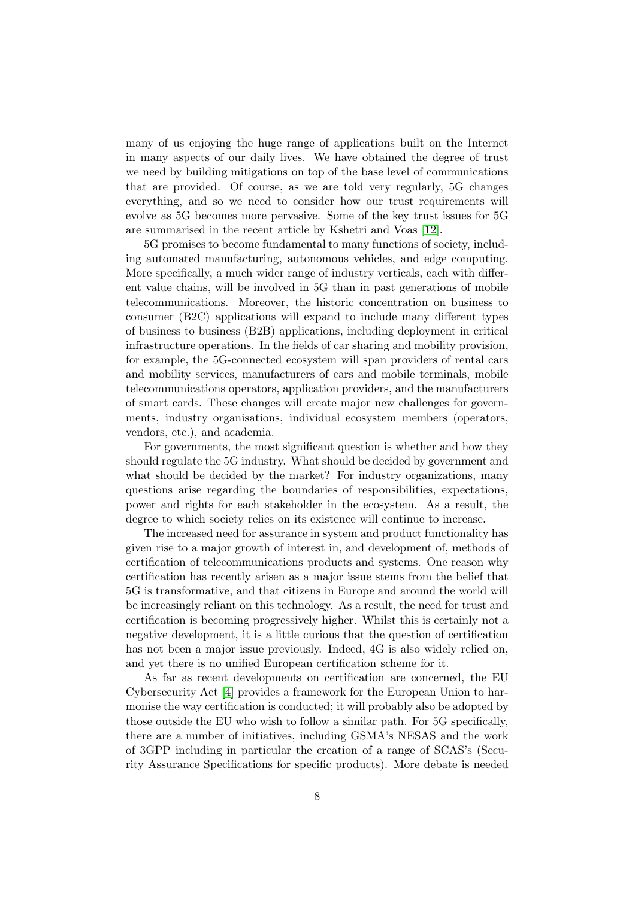many of us enjoying the huge range of applications built on the Internet in many aspects of our daily lives. We have obtained the degree of trust we need by building mitigations on top of the base level of communications that are provided. Of course, as we are told very regularly, 5G changes everything, and so we need to consider how our trust requirements will evolve as 5G becomes more pervasive. Some of the key trust issues for 5G are summarised in the recent article by Kshetri and Voas [\[12\]](#page-13-13).

5G promises to become fundamental to many functions of society, including automated manufacturing, autonomous vehicles, and edge computing. More specifically, a much wider range of industry verticals, each with different value chains, will be involved in 5G than in past generations of mobile telecommunications. Moreover, the historic concentration on business to consumer (B2C) applications will expand to include many different types of business to business (B2B) applications, including deployment in critical infrastructure operations. In the fields of car sharing and mobility provision, for example, the 5G-connected ecosystem will span providers of rental cars and mobility services, manufacturers of cars and mobile terminals, mobile telecommunications operators, application providers, and the manufacturers of smart cards. These changes will create major new challenges for governments, industry organisations, individual ecosystem members (operators, vendors, etc.), and academia.

For governments, the most significant question is whether and how they should regulate the 5G industry. What should be decided by government and what should be decided by the market? For industry organizations, many questions arise regarding the boundaries of responsibilities, expectations, power and rights for each stakeholder in the ecosystem. As a result, the degree to which society relies on its existence will continue to increase.

The increased need for assurance in system and product functionality has given rise to a major growth of interest in, and development of, methods of certification of telecommunications products and systems. One reason why certification has recently arisen as a major issue stems from the belief that 5G is transformative, and that citizens in Europe and around the world will be increasingly reliant on this technology. As a result, the need for trust and certification is becoming progressively higher. Whilst this is certainly not a negative development, it is a little curious that the question of certification has not been a major issue previously. Indeed, 4G is also widely relied on, and yet there is no unified European certification scheme for it.

As far as recent developments on certification are concerned, the EU Cybersecurity Act [\[4\]](#page-12-7) provides a framework for the European Union to harmonise the way certification is conducted; it will probably also be adopted by those outside the EU who wish to follow a similar path. For 5G specifically, there are a number of initiatives, including GSMA's NESAS and the work of 3GPP including in particular the creation of a range of SCAS's (Security Assurance Specifications for specific products). More debate is needed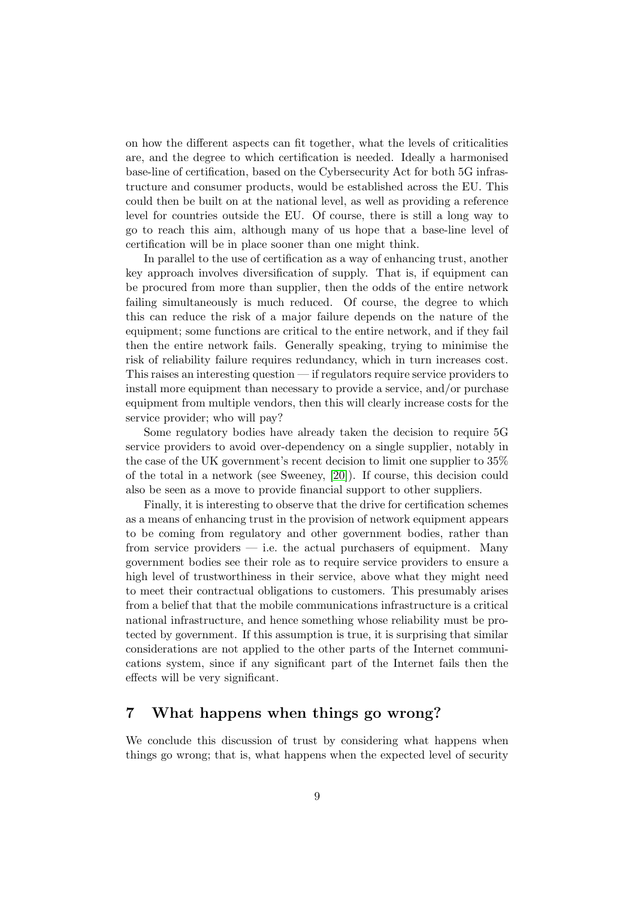on how the different aspects can fit together, what the levels of criticalities are, and the degree to which certification is needed. Ideally a harmonised base-line of certification, based on the Cybersecurity Act for both 5G infrastructure and consumer products, would be established across the EU. This could then be built on at the national level, as well as providing a reference level for countries outside the EU. Of course, there is still a long way to go to reach this aim, although many of us hope that a base-line level of certification will be in place sooner than one might think.

In parallel to the use of certification as a way of enhancing trust, another key approach involves diversification of supply. That is, if equipment can be procured from more than supplier, then the odds of the entire network failing simultaneously is much reduced. Of course, the degree to which this can reduce the risk of a major failure depends on the nature of the equipment; some functions are critical to the entire network, and if they fail then the entire network fails. Generally speaking, trying to minimise the risk of reliability failure requires redundancy, which in turn increases cost. This raises an interesting question — if regulators require service providers to install more equipment than necessary to provide a service, and/or purchase equipment from multiple vendors, then this will clearly increase costs for the service provider; who will pay?

Some regulatory bodies have already taken the decision to require 5G service providers to avoid over-dependency on a single supplier, notably in the case of the UK government's recent decision to limit one supplier to 35% of the total in a network (see Sweeney, [\[20\]](#page-13-1)). If course, this decision could also be seen as a move to provide financial support to other suppliers.

Finally, it is interesting to observe that the drive for certification schemes as a means of enhancing trust in the provision of network equipment appears to be coming from regulatory and other government bodies, rather than from service providers  $-$  i.e. the actual purchasers of equipment. Many government bodies see their role as to require service providers to ensure a high level of trustworthiness in their service, above what they might need to meet their contractual obligations to customers. This presumably arises from a belief that that the mobile communications infrastructure is a critical national infrastructure, and hence something whose reliability must be protected by government. If this assumption is true, it is surprising that similar considerations are not applied to the other parts of the Internet communications system, since if any significant part of the Internet fails then the effects will be very significant.

# <span id="page-8-0"></span>7 What happens when things go wrong?

We conclude this discussion of trust by considering what happens when things go wrong; that is, what happens when the expected level of security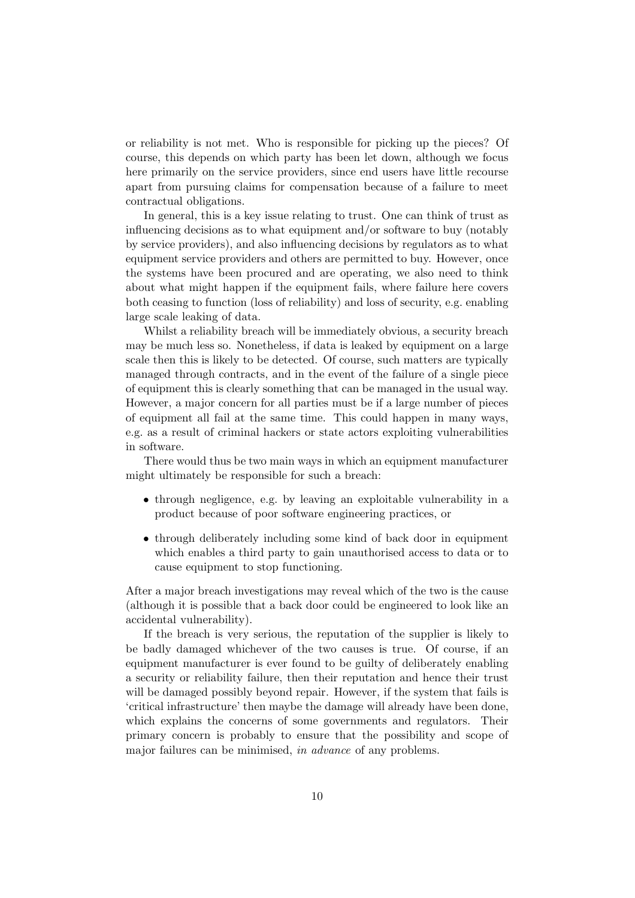or reliability is not met. Who is responsible for picking up the pieces? Of course, this depends on which party has been let down, although we focus here primarily on the service providers, since end users have little recourse apart from pursuing claims for compensation because of a failure to meet contractual obligations.

In general, this is a key issue relating to trust. One can think of trust as influencing decisions as to what equipment and/or software to buy (notably by service providers), and also influencing decisions by regulators as to what equipment service providers and others are permitted to buy. However, once the systems have been procured and are operating, we also need to think about what might happen if the equipment fails, where failure here covers both ceasing to function (loss of reliability) and loss of security, e.g. enabling large scale leaking of data.

Whilst a reliability breach will be immediately obvious, a security breach may be much less so. Nonetheless, if data is leaked by equipment on a large scale then this is likely to be detected. Of course, such matters are typically managed through contracts, and in the event of the failure of a single piece of equipment this is clearly something that can be managed in the usual way. However, a major concern for all parties must be if a large number of pieces of equipment all fail at the same time. This could happen in many ways, e.g. as a result of criminal hackers or state actors exploiting vulnerabilities in software.

There would thus be two main ways in which an equipment manufacturer might ultimately be responsible for such a breach:

- through negligence, e.g. by leaving an exploitable vulnerability in a product because of poor software engineering practices, or
- through deliberately including some kind of back door in equipment which enables a third party to gain unauthorised access to data or to cause equipment to stop functioning.

After a major breach investigations may reveal which of the two is the cause (although it is possible that a back door could be engineered to look like an accidental vulnerability).

If the breach is very serious, the reputation of the supplier is likely to be badly damaged whichever of the two causes is true. Of course, if an equipment manufacturer is ever found to be guilty of deliberately enabling a security or reliability failure, then their reputation and hence their trust will be damaged possibly beyond repair. However, if the system that fails is 'critical infrastructure' then maybe the damage will already have been done, which explains the concerns of some governments and regulators. Their primary concern is probably to ensure that the possibility and scope of major failures can be minimised, *in advance* of any problems.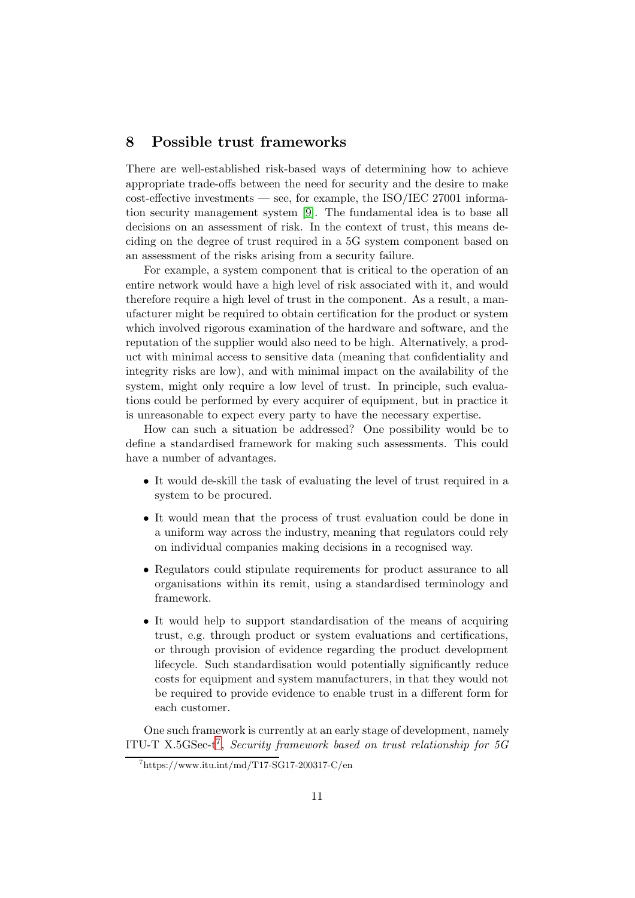### <span id="page-10-0"></span>8 Possible trust frameworks

There are well-established risk-based ways of determining how to achieve appropriate trade-offs between the need for security and the desire to make  $\cos t$ -effective investments — see, for example, the ISO/IEC 27001 information security management system [\[9\]](#page-12-8). The fundamental idea is to base all decisions on an assessment of risk. In the context of trust, this means deciding on the degree of trust required in a 5G system component based on an assessment of the risks arising from a security failure.

For example, a system component that is critical to the operation of an entire network would have a high level of risk associated with it, and would therefore require a high level of trust in the component. As a result, a manufacturer might be required to obtain certification for the product or system which involved rigorous examination of the hardware and software, and the reputation of the supplier would also need to be high. Alternatively, a product with minimal access to sensitive data (meaning that confidentiality and integrity risks are low), and with minimal impact on the availability of the system, might only require a low level of trust. In principle, such evaluations could be performed by every acquirer of equipment, but in practice it is unreasonable to expect every party to have the necessary expertise.

How can such a situation be addressed? One possibility would be to define a standardised framework for making such assessments. This could have a number of advantages.

- It would de-skill the task of evaluating the level of trust required in a system to be procured.
- It would mean that the process of trust evaluation could be done in a uniform way across the industry, meaning that regulators could rely on individual companies making decisions in a recognised way.
- Regulators could stipulate requirements for product assurance to all organisations within its remit, using a standardised terminology and framework.
- It would help to support standardisation of the means of acquiring trust, e.g. through product or system evaluations and certifications, or through provision of evidence regarding the product development lifecycle. Such standardisation would potentially significantly reduce costs for equipment and system manufacturers, in that they would not be required to provide evidence to enable trust in a different form for each customer.

One such framework is currently at an early stage of development, namely ITU-T X.5GSec-t[7](#page-10-1) , *Security framework based on trust relationship for 5G*

<span id="page-10-1"></span><sup>7</sup> https://www.itu.int/md/T17-SG17-200317-C/en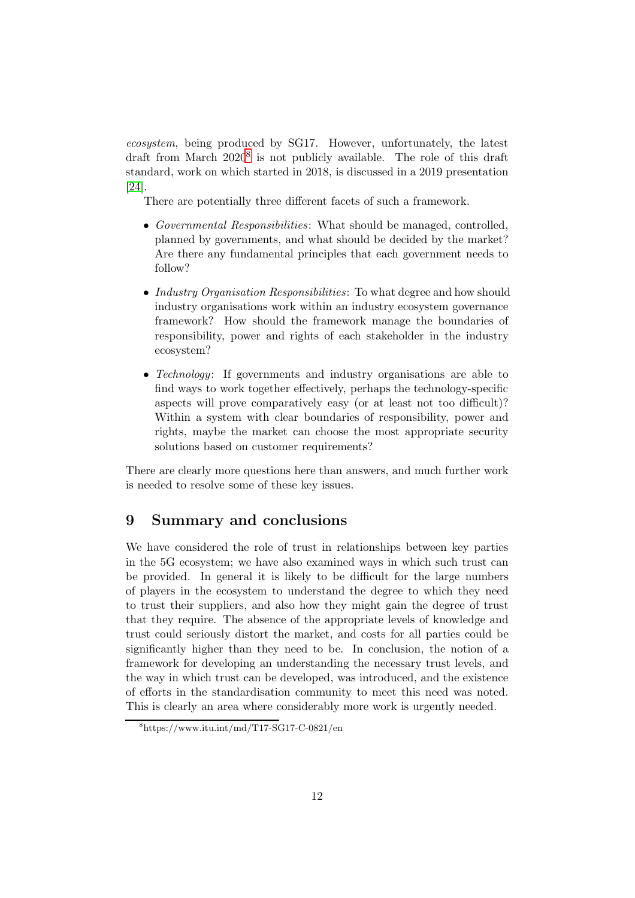*ecosystem*, being produced by SG17. However, unfortunately, the latest draft from March 2020<sup>[8](#page-11-1)</sup> is not publicly available. The role of this draft standard, work on which started in 2018, is discussed in a 2019 presentation [\[24\]](#page-14-0).

There are potentially three different facets of such a framework.

- *Governmental Responsibilities*: What should be managed, controlled, planned by governments, and what should be decided by the market? Are there any fundamental principles that each government needs to follow?
- *Industry Organisation Responsibilities*: To what degree and how should industry organisations work within an industry ecosystem governance framework? How should the framework manage the boundaries of responsibility, power and rights of each stakeholder in the industry ecosystem?
- *Technology*: If governments and industry organisations are able to find ways to work together effectively, perhaps the technology-specific aspects will prove comparatively easy (or at least not too difficult)? Within a system with clear boundaries of responsibility, power and rights, maybe the market can choose the most appropriate security solutions based on customer requirements?

There are clearly more questions here than answers, and much further work is needed to resolve some of these key issues.

## <span id="page-11-0"></span>9 Summary and conclusions

We have considered the role of trust in relationships between key parties in the 5G ecosystem; we have also examined ways in which such trust can be provided. In general it is likely to be difficult for the large numbers of players in the ecosystem to understand the degree to which they need to trust their suppliers, and also how they might gain the degree of trust that they require. The absence of the appropriate levels of knowledge and trust could seriously distort the market, and costs for all parties could be significantly higher than they need to be. In conclusion, the notion of a framework for developing an understanding the necessary trust levels, and the way in which trust can be developed, was introduced, and the existence of efforts in the standardisation community to meet this need was noted. This is clearly an area where considerably more work is urgently needed.

<span id="page-11-1"></span><sup>8</sup> https://www.itu.int/md/T17-SG17-C-0821/en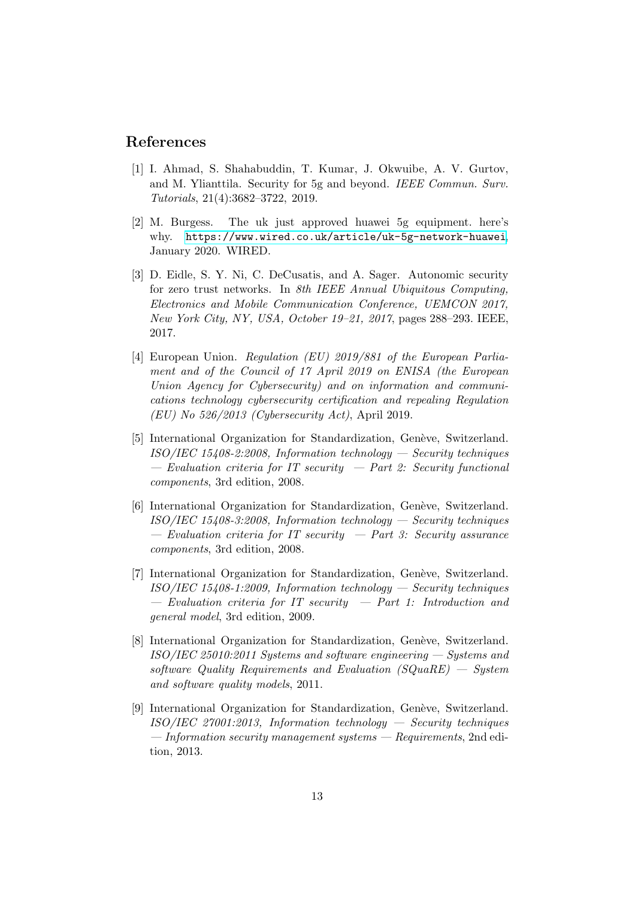#### <span id="page-12-2"></span>References

- [1] I. Ahmad, S. Shahabuddin, T. Kumar, J. Okwuibe, A. V. Gurtov, and M. Ylianttila. Security for 5g and beyond. *IEEE Commun. Surv. Tutorials*, 21(4):3682–3722, 2019.
- <span id="page-12-0"></span>[2] M. Burgess. The uk just approved huawei 5g equipment. here's why. <https://www.wired.co.uk/article/uk-5g-network-huawei>, January 2020. WIRED.
- <span id="page-12-6"></span>[3] D. Eidle, S. Y. Ni, C. DeCusatis, and A. Sager. Autonomic security for zero trust networks. In *8th IEEE Annual Ubiquitous Computing, Electronics and Mobile Communication Conference, UEMCON 2017, New York City, NY, USA, October 19–21, 2017*, pages 288–293. IEEE, 2017.
- <span id="page-12-7"></span>[4] European Union. *Regulation (EU) 2019/881 of the European Parliament and of the Council of 17 April 2019 on ENISA (the European Union Agency for Cybersecurity) and on information and communications technology cybersecurity certification and repealing Regulation (EU) No 526/2013 (Cybersecurity Act)*, April 2019.
- <span id="page-12-4"></span>[5] International Organization for Standardization, Genève, Switzerland. *ISO/IEC 15408-2:2008, Information technology — Security techniques — Evaluation criteria for IT security — Part 2: Security functional components*, 3rd edition, 2008.
- <span id="page-12-5"></span>[6] International Organization for Standardization, Genève, Switzerland. *ISO/IEC 15408-3:2008, Information technology — Security techniques — Evaluation criteria for IT security — Part 3: Security assurance components*, 3rd edition, 2008.
- <span id="page-12-3"></span>[7] International Organization for Standardization, Genève, Switzerland. *ISO/IEC 15408-1:2009, Information technology — Security techniques — Evaluation criteria for IT security — Part 1: Introduction and general model*, 3rd edition, 2009.
- <span id="page-12-1"></span>[8] International Organization for Standardization, Genève, Switzerland. *ISO/IEC 25010:2011 Systems and software engineering — Systems and software Quality Requirements and Evaluation (SQuaRE) — System and software quality models*, 2011.
- <span id="page-12-8"></span>[9] International Organization for Standardization, Genève, Switzerland. *ISO/IEC 27001:2013, Information technology — Security techniques — Information security management systems — Requirements*, 2nd edition, 2013.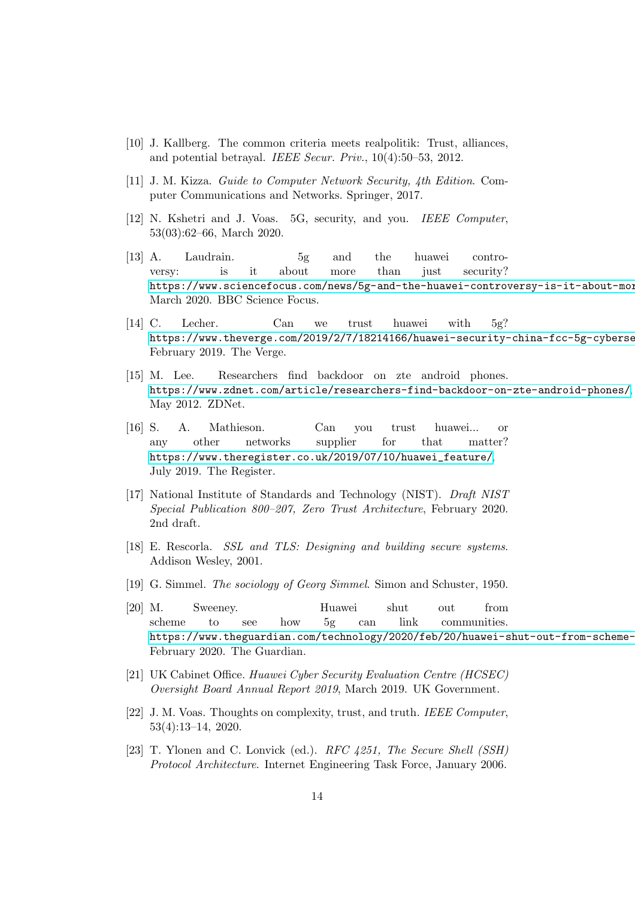- <span id="page-13-10"></span><span id="page-13-9"></span>[10] J. Kallberg. The common criteria meets realpolitik: Trust, alliances, and potential betrayal. *IEEE Secur. Priv.*, 10(4):50–53, 2012.
- <span id="page-13-13"></span>[11] J. M. Kizza. *Guide to Computer Network Security, 4th Edition*. Computer Communications and Networks. Springer, 2017.
- <span id="page-13-0"></span>[12] N. Kshetri and J. Voas. 5G, security, and you. *IEEE Computer*, 53(03):62–66, March 2020.
- [13] A. Laudrain. 5g and the huawei controversy: is it about more than just security? https://www.sciencefocus.com/news/5g-and-the-huawei-controversy-is-it-about-more March 2020. BBC Science Focus.
- <span id="page-13-2"></span>[14] C. Lecher. Can we trust huawei with 5g? https://www.theverge.com/2019/2/7/18214166/huawei-security-china-fcc-5g-cyberse February 2019. The Verge.
- <span id="page-13-7"></span>[15] M. Lee. Researchers find backdoor on zte android phones. <https://www.zdnet.com/article/researchers-find-backdoor-on-zte-android-phones/>, May 2012. ZDNet.
- <span id="page-13-3"></span>[16] S. A. Mathieson. Can you trust huawei... or any other networks supplier for that matter? [https://www.theregister.co.uk/2019/07/10/huawei\\_feature/](https://www.theregister.co.uk/2019/07/10/huawei_feature/), July 2019. The Register.
- <span id="page-13-12"></span>[17] National Institute of Standards and Technology (NIST). *Draft NIST Special Publication 800–207, Zero Trust Architecture*, February 2020. 2nd draft.
- <span id="page-13-6"></span>[18] E. Rescorla. *SSL and TLS: Designing and building secure systems*. Addison Wesley, 2001.
- <span id="page-13-5"></span><span id="page-13-1"></span>[19] G. Simmel. *The sociology of Georg Simmel*. Simon and Schuster, 1950.
- [20] M. Sweeney. Huawei shut out from scheme to see how 5g can link communities. https://www.theguardian.com/technology/2020/feb/20/huawei-shut-out-from-scheme-February 2020. The Guardian.
- <span id="page-13-11"></span><span id="page-13-4"></span>[21] UK Cabinet Office. *Huawei Cyber Security Evaluation Centre (HCSEC) Oversight Board Annual Report 2019*, March 2019. UK Government.
- [22] J. M. Voas. Thoughts on complexity, trust, and truth. *IEEE Computer*, 53(4):13–14, 2020.
- <span id="page-13-8"></span>[23] T. Ylonen and C. Lonvick (ed.). *RFC 4251, The Secure Shell (SSH) Protocol Architecture*. Internet Engineering Task Force, January 2006.